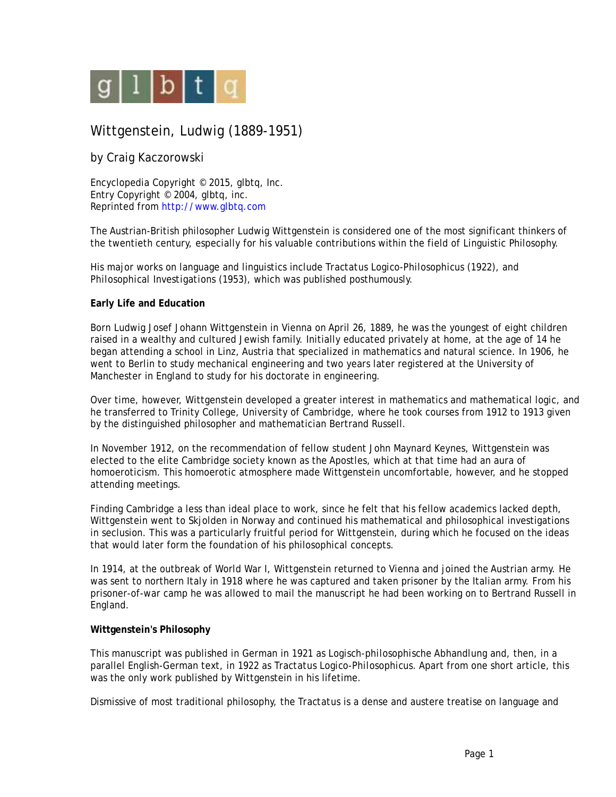

# Wittgenstein, Ludwig (1889-1951)

# by Craig Kaczorowski

Encyclopedia Copyright © 2015, glbtq, Inc. Entry Copyright © 2004, glbtq, inc. Reprinted from<http://www.glbtq.com>

The Austrian-British philosopher Ludwig Wittgenstein is considered one of the most significant thinkers of the twentieth century, especially for his valuable contributions within the field of Linguistic Philosophy.

His major works on language and linguistics include *Tractatus Logico-Philosophicus* (1922), and *Philosophical Investigations* (1953), which was published posthumously.

#### **Early Life and Education**

Born Ludwig Josef Johann Wittgenstein in Vienna on April 26, 1889, he was the youngest of eight children raised in a wealthy and cultured Jewish family. Initially educated privately at home, at the age of 14 he began attending a school in Linz, Austria that specialized in mathematics and natural science. In 1906, he went to Berlin to study mechanical engineering and two years later registered at the University of Manchester in England to study for his doctorate in engineering.

Over time, however, Wittgenstein developed a greater interest in mathematics and mathematical logic, and he transferred to Trinity College, University of Cambridge, where he took courses from 1912 to 1913 given by the distinguished philosopher and mathematician Bertrand Russell.

In November 1912, on the recommendation of fellow student John Maynard Keynes, Wittgenstein was elected to the elite Cambridge society known as the Apostles, which at that time had an aura of homoeroticism. This homoerotic atmosphere made Wittgenstein uncomfortable, however, and he stopped attending meetings.

Finding Cambridge a less than ideal place to work, since he felt that his fellow academics lacked depth, Wittgenstein went to Skjolden in Norway and continued his mathematical and philosophical investigations in seclusion. This was a particularly fruitful period for Wittgenstein, during which he focused on the ideas that would later form the foundation of his philosophical concepts.

In 1914, at the outbreak of World War I, Wittgenstein returned to Vienna and joined the Austrian army. He was sent to northern Italy in 1918 where he was captured and taken prisoner by the Italian army. From his prisoner-of-war camp he was allowed to mail the manuscript he had been working on to Bertrand Russell in England.

## **Wittgenstein's Philosophy**

This manuscript was published in German in 1921 as *Logisch-philosophische Abhandlung* and, then, in a parallel English-German text, in 1922 as *Tractatus Logico-Philosophicus*. Apart from one short article, this was the only work published by Wittgenstein in his lifetime.

Dismissive of most traditional philosophy, the *Tractatus* is a dense and austere treatise on language and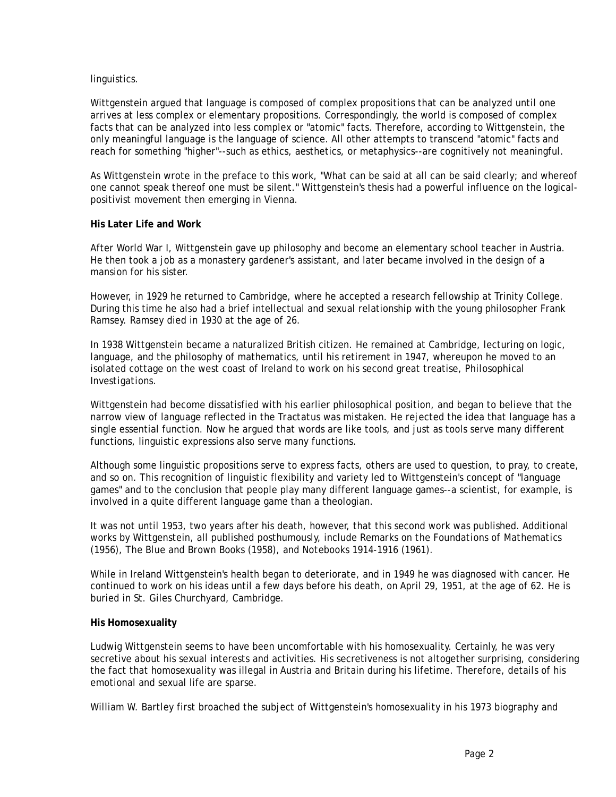#### linguistics.

Wittgenstein argued that language is composed of complex propositions that can be analyzed until one arrives at less complex or elementary propositions. Correspondingly, the world is composed of complex facts that can be analyzed into less complex or "atomic" facts. Therefore, according to Wittgenstein, the only meaningful language is the language of science. All other attempts to transcend "atomic" facts and reach for something "higher"--such as ethics, aesthetics, or metaphysics--are cognitively not meaningful.

As Wittgenstein wrote in the preface to this work, "What can be said at all can be said clearly; and whereof one cannot speak thereof one must be silent." Wittgenstein's thesis had a powerful influence on the logicalpositivist movement then emerging in Vienna.

## **His Later Life and Work**

After World War I, Wittgenstein gave up philosophy and become an elementary school teacher in Austria. He then took a job as a monastery gardener's assistant, and later became involved in the design of a mansion for his sister

However, in 1929 he returned to Cambridge, where he accepted a research fellowship at Trinity College. During this time he also had a brief intellectual and sexual relationship with the young philosopher Frank Ramsey. Ramsey died in 1930 at the age of 26.

In 1938 Wittgenstein became a naturalized British citizen. He remained at Cambridge, lecturing on logic, language, and the philosophy of mathematics, until his retirement in 1947, whereupon he moved to an isolated cottage on the west coast of Ireland to work on his second great treatise, *Philosophical Investigations*.

Wittgenstein had become dissatisfied with his earlier philosophical position, and began to believe that the narrow view of language reflected in the *Tractatus* was mistaken. He rejected the idea that language has a single essential function. Now he argued that words are like tools, and just as tools serve many different functions, linguistic expressions also serve many functions.

Although some linguistic propositions serve to express facts, others are used to question, to pray, to create, and so on. This recognition of linguistic flexibility and variety led to Wittgenstein's concept of "language games" and to the conclusion that people play many different language games--a scientist, for example, is involved in a quite different language game than a theologian.

It was not until 1953, two years after his death, however, that this second work was published. Additional works by Wittgenstein, all published posthumously, include *Remarks on the Foundations of Mathematics* (1956), *The Blue and Brown Books* (1958), and *Notebooks 1914-1916* (1961).

While in Ireland Wittgenstein's health began to deteriorate, and in 1949 he was diagnosed with cancer. He continued to work on his ideas until a few days before his death, on April 29, 1951, at the age of 62. He is buried in St. Giles Churchyard, Cambridge.

#### **His Homosexuality**

Ludwig Wittgenstein seems to have been uncomfortable with his homosexuality. Certainly, he was very secretive about his sexual interests and activities. His secretiveness is not altogether surprising, considering the fact that homosexuality was illegal in Austria and Britain during his lifetime. Therefore, details of his emotional and sexual life are sparse.

William W. Bartley first broached the subject of Wittgenstein's homosexuality in his 1973 biography and